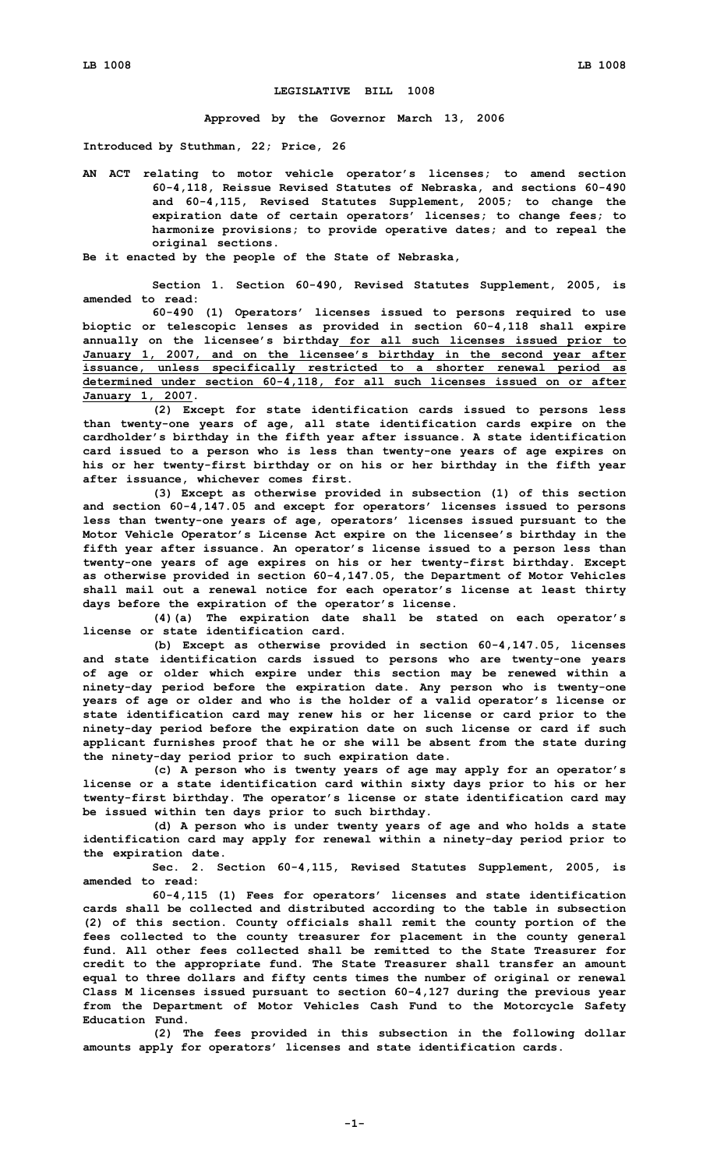## **LEGISLATIVE BILL 1008**

**Approved by the Governor March 13, 2006**

**Introduced by Stuthman, 22; Price, 26**

**AN ACT relating to motor vehicle operator's licenses; to amend section 60-4,118, Reissue Revised Statutes of Nebraska, and sections 60-490 and 60-4,115, Revised Statutes Supplement, 2005; to change the expiration date of certain operators' licenses; to change fees; to harmonize provisions; to provide operative dates; and to repeal the original sections.**

**Be it enacted by the people of the State of Nebraska,**

**Section 1. Section 60-490, Revised Statutes Supplement, 2005, is amended to read:**

**60-490 (1) Operators' licenses issued to persons required to use bioptic or telescopic lenses as provided in section 60-4,118 shall expire annually on the licensee's birthday for all such licenses issued prior to January 1, 2007, and on the licensee's birthday in the second year after issuance, unless specifically restricted to <sup>a</sup> shorter renewal period as determined under section 60-4,118, for all such licenses issued on or after January 1, 2007.**

**(2) Except for state identification cards issued to persons less than twenty-one years of age, all state identification cards expire on the cardholder's birthday in the fifth year after issuance. A state identification card issued to <sup>a</sup> person who is less than twenty-one years of age expires on his or her twenty-first birthday or on his or her birthday in the fifth year after issuance, whichever comes first.**

**(3) Except as otherwise provided in subsection (1) of this section and section 60-4,147.05 and except for operators' licenses issued to persons less than twenty-one years of age, operators' licenses issued pursuant to the Motor Vehicle Operator's License Act expire on the licensee's birthday in the fifth year after issuance. An operator's license issued to <sup>a</sup> person less than twenty-one years of age expires on his or her twenty-first birthday. Except as otherwise provided in section 60-4,147.05, the Department of Motor Vehicles shall mail out <sup>a</sup> renewal notice for each operator's license at least thirty days before the expiration of the operator's license.**

**(4)(a) The expiration date shall be stated on each operator's license or state identification card.**

**(b) Except as otherwise provided in section 60-4,147.05, licenses and state identification cards issued to persons who are twenty-one years of age or older which expire under this section may be renewed within <sup>a</sup> ninety-day period before the expiration date. Any person who is twenty-one years of age or older and who is the holder of <sup>a</sup> valid operator's license or state identification card may renew his or her license or card prior to the ninety-day period before the expiration date on such license or card if such applicant furnishes proof that he or she will be absent from the state during the ninety-day period prior to such expiration date.**

**(c) <sup>A</sup> person who is twenty years of age may apply for an operator's license or <sup>a</sup> state identification card within sixty days prior to his or her twenty-first birthday. The operator's license or state identification card may be issued within ten days prior to such birthday.**

**(d) <sup>A</sup> person who is under twenty years of age and who holds <sup>a</sup> state identification card may apply for renewal within <sup>a</sup> ninety-day period prior to the expiration date.**

**Sec. 2. Section 60-4,115, Revised Statutes Supplement, 2005, is amended to read:**

**60-4,115 (1) Fees for operators' licenses and state identification cards shall be collected and distributed according to the table in subsection (2) of this section. County officials shall remit the county portion of the fees collected to the county treasurer for placement in the county general fund. All other fees collected shall be remitted to the State Treasurer for credit to the appropriate fund. The State Treasurer shall transfer an amount equal to three dollars and fifty cents times the number of original or renewal Class <sup>M</sup> licenses issued pursuant to section 60-4,127 during the previous year from the Department of Motor Vehicles Cash Fund to the Motorcycle Safety Education Fund.**

**(2) The fees provided in this subsection in the following dollar amounts apply for operators' licenses and state identification cards.**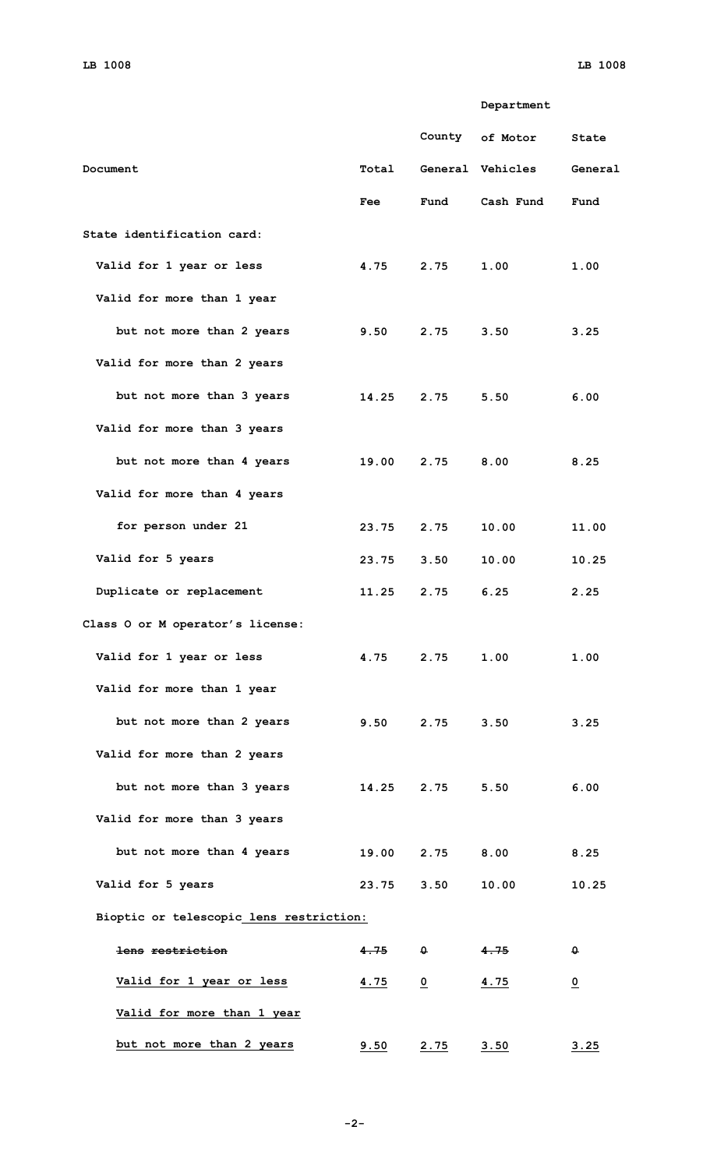**Department**

|                                         |             |                | County of Motor        | State          |
|-----------------------------------------|-------------|----------------|------------------------|----------------|
| Document                                |             |                | Total General Vehicles | General        |
|                                         | Fee         | Fund           | Cash Fund              | Fund           |
| State identification card:              |             |                |                        |                |
| Valid for 1 year or less                | 4.75        | 2.75           | 1.00                   | 1.00           |
| Valid for more than 1 year              |             |                |                        |                |
| but not more than 2 years               | 9.50        | 2.75           | 3.50                   | 3.25           |
| Valid for more than 2 years             |             |                |                        |                |
| but not more than 3 years               | 14.25       | 2.75           | 5.50                   | 6.00           |
| Valid for more than 3 years             |             |                |                        |                |
| but not more than 4 years               | 19.00       | 2.75           | 8.00                   | 8.25           |
| Valid for more than 4 years             |             |                |                        |                |
| for person under 21                     | 23.75       | 2.75           | 10.00                  | 11.00          |
| Valid for 5 years                       | 23.75       | 3.50           | 10.00                  | 10.25          |
| Duplicate or replacement                | 11.25       | 2.75           | 6.25                   | 2.25           |
| Class O or M operator's license:        |             |                |                        |                |
| Valid for 1 year or less                | 4.75        | 2.75           | 1.00                   | 1.00           |
| Valid for more than 1 year              |             |                |                        |                |
| but not more than 2 years               | 9.50        | 2.75           | 3.50                   | 3.25           |
| Valid for more than 2 years             |             |                |                        |                |
| but not more than 3 years               | 14.25       | 2.75           | 5.50                   | 6.00           |
| Valid for more than 3 years             |             |                |                        |                |
| but not more than 4 years               |             | 19.00 2.75     | 8.00                   | 8.25           |
| Valid for 5 years                       | 23.75       | 3.50           | 10.00                  | 10.25          |
| Bioptic or telescopic lens restriction: |             |                |                        |                |
| lens restriction                        | 4.75        | $\mathbf{0}$   | 4.75                   | $\theta$       |
| Valid for 1 year or less                | <u>4.75</u> | $\overline{0}$ | <u>4.75</u>            | $\overline{o}$ |
| Valid for more than 1 year              |             |                |                        |                |
| but not more than 2 years               | 9.50        | <u>2.75</u>    | 3.50                   | 3.25           |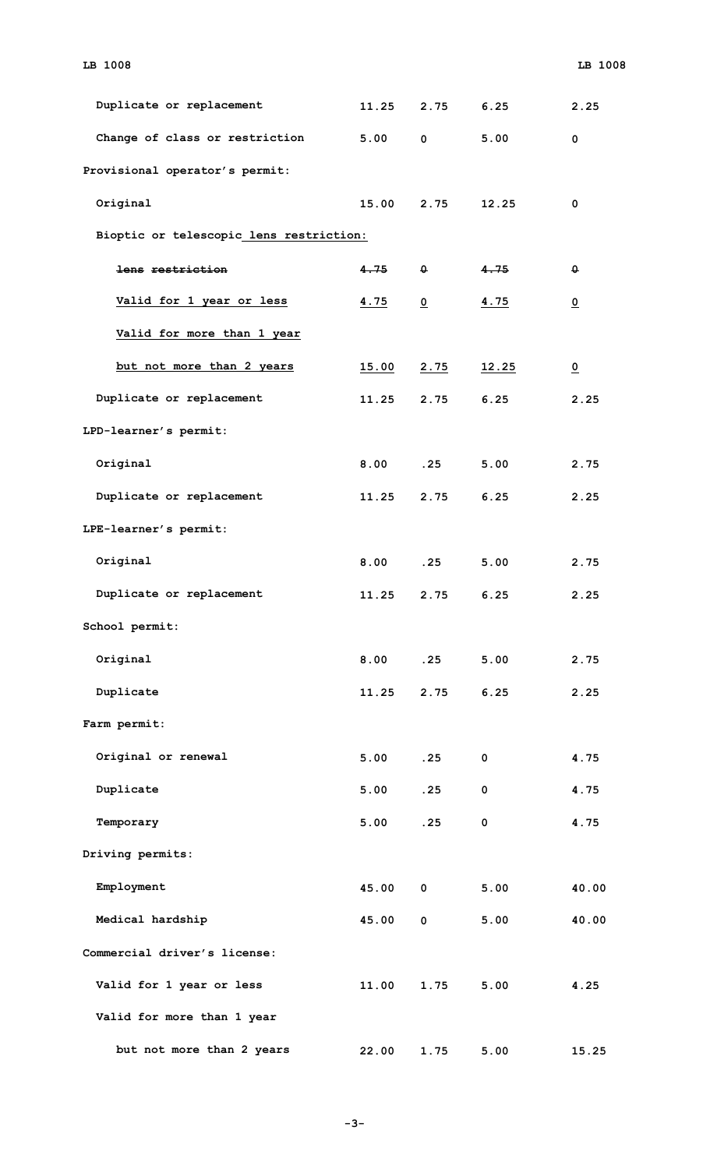| Duplicate or replacement                | 11.25 | 2.75           | 6.25        | 2.25                    |
|-----------------------------------------|-------|----------------|-------------|-------------------------|
| Change of class or restriction          | 5.00  | $\mathbf 0$    | 5.00        | $\mathbf 0$             |
| Provisional operator's permit:          |       |                |             |                         |
| Original                                | 15.00 | 2.75           | 12.25       | $\mathbf 0$             |
| Bioptic or telescopic lens restriction: |       |                |             |                         |
| lens restriction                        | 4.75  | $\theta$       | 4.75        | $\theta$                |
| Valid for 1 year or less                | 4.75  | $\overline{0}$ | 4.75        | $\overline{0}$          |
| Valid for more than 1 year              |       |                |             |                         |
| but not more than 2 years               | 15.00 | 2.75           | 12.25       | $\overline{\mathbf{0}}$ |
| Duplicate or replacement                | 11.25 | 2.75           | 6.25        | 2.25                    |
| LPD-learner's permit:                   |       |                |             |                         |
| Original                                | 8.00  | .25            | 5.00        | 2.75                    |
| Duplicate or replacement                | 11.25 | 2.75           | 6.25        | 2.25                    |
| LPE-learner's permit:                   |       |                |             |                         |
| Original                                | 8.00  | .25            | 5.00        | 2.75                    |
| Duplicate or replacement                | 11.25 | 2.75           | 6.25        | 2.25                    |
| School permit:                          |       |                |             |                         |
| Original                                | 8.00  | .25            | 5.00        | 2.75                    |
| Duplicate                               | 11.25 | 2.75           | 6.25        | 2.25                    |
| Farm permit:                            |       |                |             |                         |
| Original or renewal                     | 5.00  | .25            | $\mathbf 0$ | 4.75                    |
| Duplicate                               | 5.00  | .25            | $\mathbf 0$ | 4.75                    |
| Temporary                               | 5.00  | .25            | $\mathbf 0$ | 4.75                    |
| Driving permits:                        |       |                |             |                         |
| Employment                              | 45.00 | $\mathbf 0$    | 5.00        | 40.00                   |
| Medical hardship                        | 45.00 | $\mathbf 0$    | 5.00        | 40.00                   |
| Commercial driver's license:            |       |                |             |                         |
| Valid for 1 year or less                | 11.00 | 1.75           | 5.00        | 4.25                    |
| Valid for more than 1 year              |       |                |             |                         |
| but not more than 2 years               | 22.00 | 1.75           | 5.00        | 15.25                   |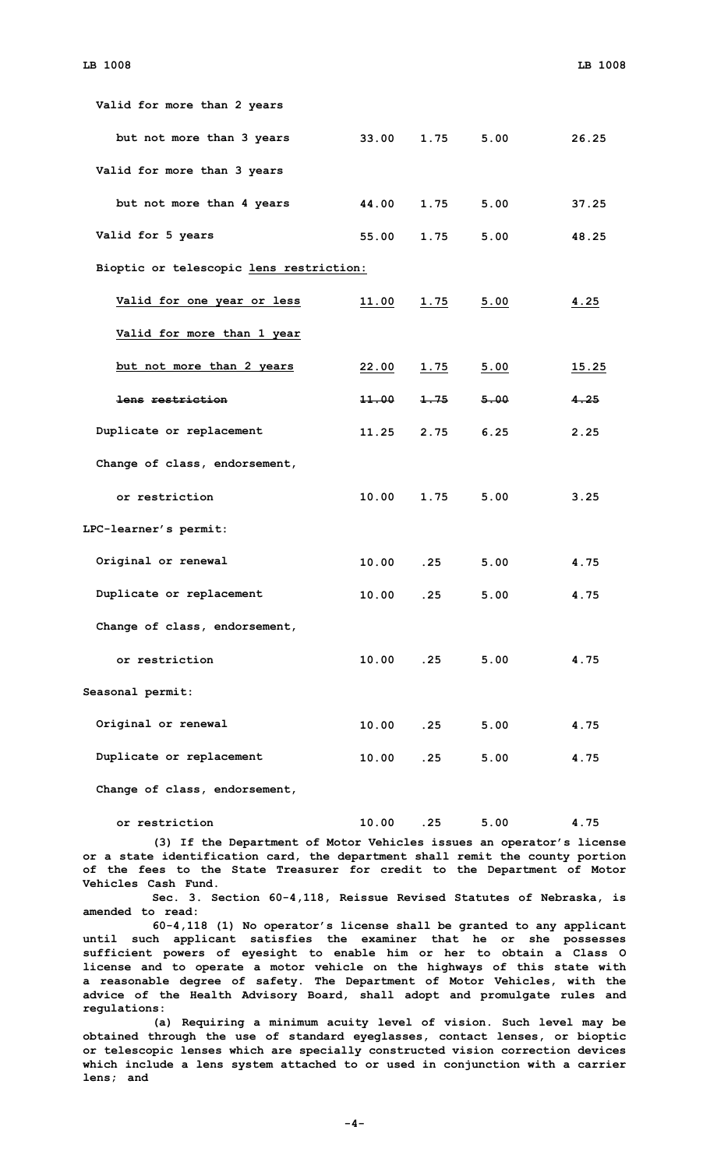| Valid for more than 2 years             |                  |             |           |              |
|-----------------------------------------|------------------|-------------|-----------|--------------|
| but not more than 3 years               | 33.00            | 1.75        | 5.00      | 26.25        |
| Valid for more than 3 years             |                  |             |           |              |
| but not more than 4 years               | 44.00            |             | 1.75 5.00 | 37.25        |
| Valid for 5 years                       | 55.00            | 1.75        | 5.00      | 48.25        |
| Bioptic or telescopic lens restriction: |                  |             |           |              |
| Valid for one year or less              | 11.00            | 1.75        | 5.00      | 4.25         |
| Valid for more than 1 year              |                  |             |           |              |
| but not more than 2 years               | 22.00            | <u>1.75</u> | 5.00      | <u>15.25</u> |
| lens restriction                        | <del>11.00</del> | 1.75        | 5.00      | 4.25         |
| Duplicate or replacement                | 11.25            | 2.75        | 6.25      | 2.25         |
| Change of class, endorsement,           |                  |             |           |              |
| or restriction                          | 10.00            | 1.75        | 5.00      | 3.25         |
| LPC-learner's permit:                   |                  |             |           |              |
| Original or renewal                     | 10.00            | .25         | 5.00      | 4.75         |
| Duplicate or replacement                | 10.00            | .25         | 5.00      | 4.75         |
| Change of class, endorsement,           |                  |             |           |              |
| or restriction                          | 10.00            | .25         | 5.00      | 4.75         |
| Seasonal permit:                        |                  |             |           |              |
| Original or renewal                     | 10.00            | .25         | 5.00      | 4.75         |
| Duplicate or replacement                | 10.00            | .25         | 5.00      | 4.75         |
|                                         |                  |             |           |              |

**Change of class, endorsement,**

**or restriction 10.00 .25 5.00 4.75**

**(3) If the Department of Motor Vehicles issues an operator's license or <sup>a</sup> state identification card, the department shall remit the county portion of the fees to the State Treasurer for credit to the Department of Motor Vehicles Cash Fund.**

**Sec. 3. Section 60-4,118, Reissue Revised Statutes of Nebraska, is amended to read:**

**60-4,118 (1) No operator's license shall be granted to any applicant until such applicant satisfies the examiner that he or she possesses sufficient powers of eyesight to enable him or her to obtain <sup>a</sup> Class O license and to operate <sup>a</sup> motor vehicle on the highways of this state with <sup>a</sup> reasonable degree of safety. The Department of Motor Vehicles, with the advice of the Health Advisory Board, shall adopt and promulgate rules and regulations:**

**(a) Requiring <sup>a</sup> minimum acuity level of vision. Such level may be obtained through the use of standard eyeglasses, contact lenses, or bioptic or telescopic lenses which are specially constructed vision correction devices which include <sup>a</sup> lens system attached to or used in conjunction with <sup>a</sup> carrier lens; and**